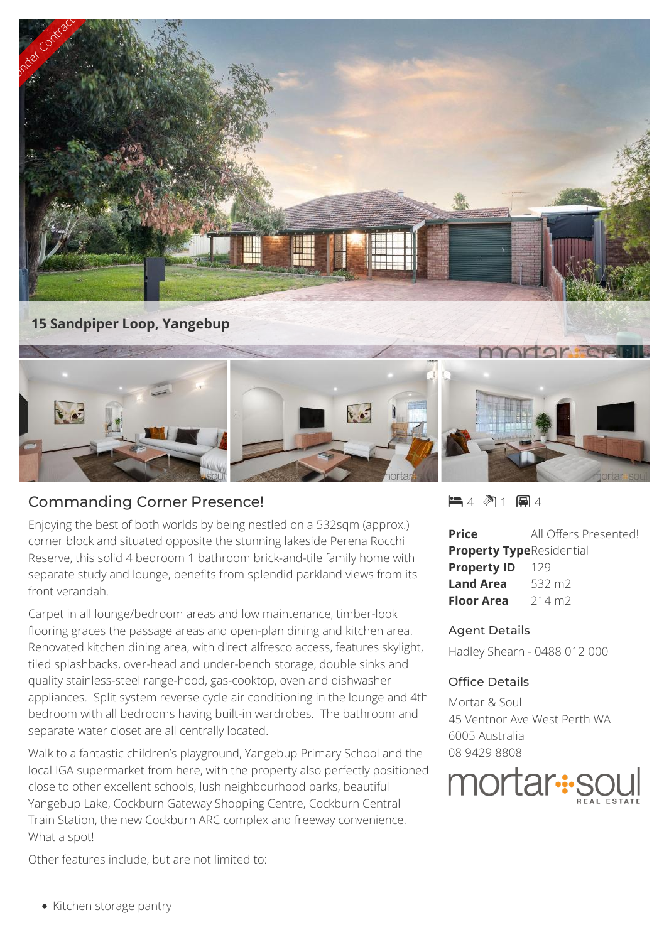

## Commanding Corner Presence!

Enjoying the best of both worlds by being nestled on a 532sqm (approx.) corner block and situated opposite the stunning lakeside Perena Rocchi Reserve, this solid 4 bedroom 1 bathroom brick-and-tile family home with separate study and lounge, benefits from splendid parkland views from its front verandah.

Carpet in all lounge/bedroom areas and low maintenance, timber-look flooring graces the passage areas and open-plan dining and kitchen area. Renovated kitchen dining area, with direct alfresco access, features skylight, tiled splashbacks, over-head and under-bench storage, double sinks and quality stainless-steel range-hood, gas-cooktop, oven and dishwasher appliances. Split system reverse cycle air conditioning in the lounge and 4th bedroom with all bedrooms having built-in wardrobes. The bathroom and separate water closet are all centrally located.

Walk to a fantastic children's playground, Yangebup Primary School and the local IGA supermarket from here, with the property also perfectly positioned<br>close to other excellent schools, lush neighbourhood parks, beautiful **IMOMAF**:SOL close to other excellent schools, lush neighbourhood parks, beautiful Yangebup Lake, Cockburn Gateway Shopping Centre, Cockburn Central Train Station, the new Cockburn ARC complex and freeway convenience. What a spot!

Other features include, but are not limited to:

 $\blacksquare$  4  $\spadesuit$  1  $\blacksquare$  4

**Price** All Offers Presented! **Property Type**Residential **Property ID** 129 **Land Area** 532 m2 **Floor Area** 214 m<sub>2</sub>

## Agent Details

Hadley Shearn - 0488 012 000

## Office Details

Mortar & Soul 45 Ventnor Ave West Perth WA 6005 Australia 08 9429 8808